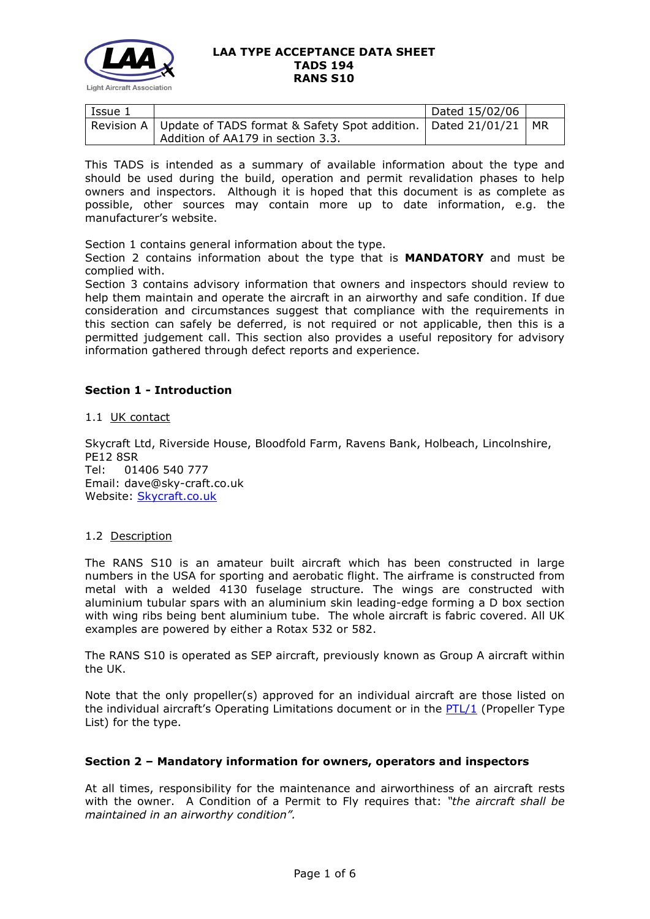

| Issue 1 |                                                                                  | Dated 15/02/06 |  |
|---------|----------------------------------------------------------------------------------|----------------|--|
|         | Revision A   Update of TADS format & Safety Spot addition.   Dated 21/01/21   MR |                |  |
|         | Addition of AA179 in section 3.3.                                                |                |  |

This TADS is intended as a summary of available information about the type and should be used during the build, operation and permit revalidation phases to help owners and inspectors. Although it is hoped that this document is as complete as possible, other sources may contain more up to date information, e.g. the manufacturer's website.

Section 1 contains general information about the type.

Section 2 contains information about the type that is **MANDATORY** and must be complied with.

Section 3 contains advisory information that owners and inspectors should review to help them maintain and operate the aircraft in an airworthy and safe condition. If due consideration and circumstances suggest that compliance with the requirements in this section can safely be deferred, is not required or not applicable, then this is a permitted judgement call. This section also provides a useful repository for advisory information gathered through defect reports and experience.

# **Section 1 - Introduction**

1.1 UK contact

Skycraft Ltd, Riverside House, Bloodfold Farm, Ravens Bank, Holbeach, Lincolnshire, PE12 8SR Tel: 01406 540 777 Email: dave@sky-craft.co.uk Website: [Skycraft.co.uk](https://skycraft.ltd/cgi-bin/mf000042.pl?ACTION=SHOWFORM)

#### 1.2 Description

The RANS S10 is an amateur built aircraft which has been constructed in large numbers in the USA for sporting and aerobatic flight. The airframe is constructed from metal with a welded 4130 fuselage structure. The wings are constructed with aluminium tubular spars with an aluminium skin leading-edge forming a D box section with wing ribs being bent aluminium tube. The whole aircraft is fabric covered. All UK examples are powered by either a Rotax 532 or 582.

The RANS S10 is operated as SEP aircraft, previously known as Group A aircraft within the UK.

Note that the only propeller(s) approved for an individual aircraft are those listed on the individual aircraft's Operating Limitations document or in the  $PTL/1$  (Propeller Type List) for the type.

#### **Section 2 – Mandatory information for owners, operators and inspectors**

At all times, responsibility for the maintenance and airworthiness of an aircraft rests with the owner. A Condition of a Permit to Fly requires that: *"the aircraft shall be maintained in an airworthy condition".*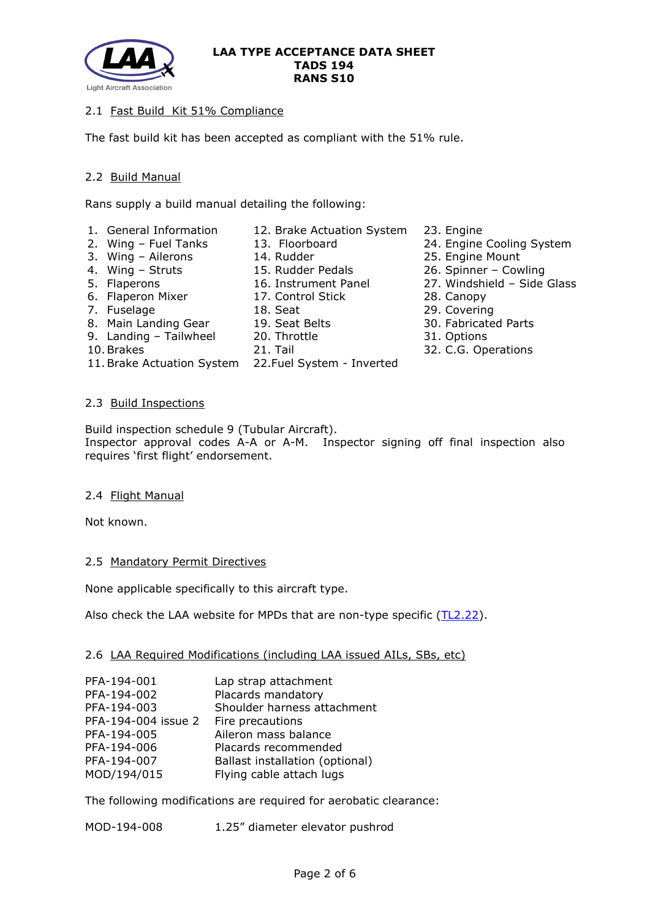

# 2.1 Fast Build Kit 51% Compliance

The fast build kit has been accepted as compliant with the 51% rule.

#### 2.2 Build Manual

Rans supply a build manual detailing the following:

- 1. General Information 12. Brake Actuation System 23. Engine<br>2. Wing Fuel Tanks 13. Floorboard 24. Engine
	-
	-
	-
	-
	-
	-
	-
	-
	-
	-
- 11.Brake Actuation System 22.Fuel System Inverted
- 
- 13. Floorboard 24. Engine Cooling System
- 3. Wing Ailerons 14. Rudder 25. Engine Mount
- 4. Wing Struts 15. Rudder Pedals 26. Spinner Cowling
- 5. Flaperons 16. Instrument Panel 27. Windshield Side Glass
- 6. Flaperon Mixer 17. Control Stick 28. Canopy
- 7. Fuselage 18. Seat 29. Covering
- 8. Main Landing Gear 19. Seat Belts 30. Fabricated Parts
- 9. Landing Tailwheel 20. Throttle 31. Options
- 10.Brakes 21. Tail 32. C.G. Operations

#### 2.3 Build Inspections

Build inspection schedule 9 (Tubular Aircraft). Inspector approval codes A-A or A-M. Inspector signing off final inspection also requires 'first flight' endorsement.

#### 2.4 Flight Manual

Not known.

#### 2.5 Mandatory Permit Directives

None applicable specifically to this aircraft type.

Also check the LAA website for MPDs that are non-type specific [\(TL2.22\)](http://www.lightaircraftassociation.co.uk/engineering/TechnicalLeaflets/Operating%20An%20Aircraft/TL%202.22%20non-type%20specific%20MPDs.pdf).

#### 2.6 LAA Required Modifications (including LAA issued AILs, SBs, etc)

| PFA-194-001         | Lap strap attachment            |
|---------------------|---------------------------------|
| PFA-194-002         | Placards mandatory              |
| PFA-194-003         | Shoulder harness attachment     |
| PFA-194-004 issue 2 | Fire precautions                |
| PFA-194-005         | Aileron mass balance            |
| PFA-194-006         | Placards recommended            |
| PFA-194-007         | Ballast installation (optional) |
| MOD/194/015         | Flying cable attach lugs        |

The following modifications are required for aerobatic clearance:

MOD-194-008 1.25" diameter elevator pushrod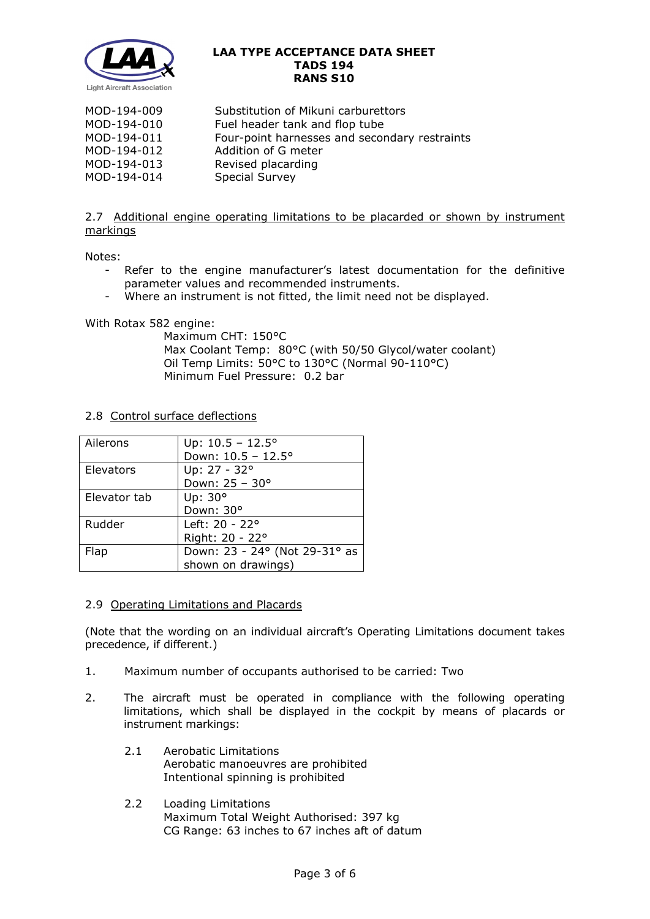

| MOD-194-009 | Substitution of Mikuni carburettors           |
|-------------|-----------------------------------------------|
| MOD-194-010 | Fuel header tank and flop tube                |
| MOD-194-011 | Four-point harnesses and secondary restraints |
| MOD-194-012 | Addition of G meter                           |
| MOD-194-013 | Revised placarding                            |
| MOD-194-014 | <b>Special Survey</b>                         |

## 2.7 Additional engine operating limitations to be placarded or shown by instrument markings

Notes:

- Refer to the engine manufacturer's latest documentation for the definitive parameter values and recommended instruments.
- Where an instrument is not fitted, the limit need not be displayed.

With Rotax 582 engine:

Maximum CHT: 150°C Max Coolant Temp: 80°C (with 50/50 Glycol/water coolant) Oil Temp Limits: 50°C to 130°C (Normal 90-110°C) Minimum Fuel Pressure: 0.2 bar

## 2.8 Control surface deflections

| Ailerons     | Up: $10.5 - 12.5^{\circ}$     |
|--------------|-------------------------------|
|              | Down: $10.5 - 12.5^{\circ}$   |
| Elevators    | Up: 27 - 32°                  |
|              | Down: 25 - 30°                |
| Elevator tab | Up: 30°                       |
|              | Down: 30°                     |
| Rudder       | Left: 20 - 22°                |
|              | Right: 20 - 22°               |
| Flap         | Down: 23 - 24° (Not 29-31° as |
|              | shown on drawings)            |

#### 2.9 Operating Limitations and Placards

(Note that the wording on an individual aircraft's Operating Limitations document takes precedence, if different.)

- 1. Maximum number of occupants authorised to be carried: Two
- 2. The aircraft must be operated in compliance with the following operating limitations, which shall be displayed in the cockpit by means of placards or instrument markings:
	- 2.1 Aerobatic Limitations Aerobatic manoeuvres are prohibited Intentional spinning is prohibited
	- 2.2 Loading Limitations Maximum Total Weight Authorised: 397 kg CG Range: 63 inches to 67 inches aft of datum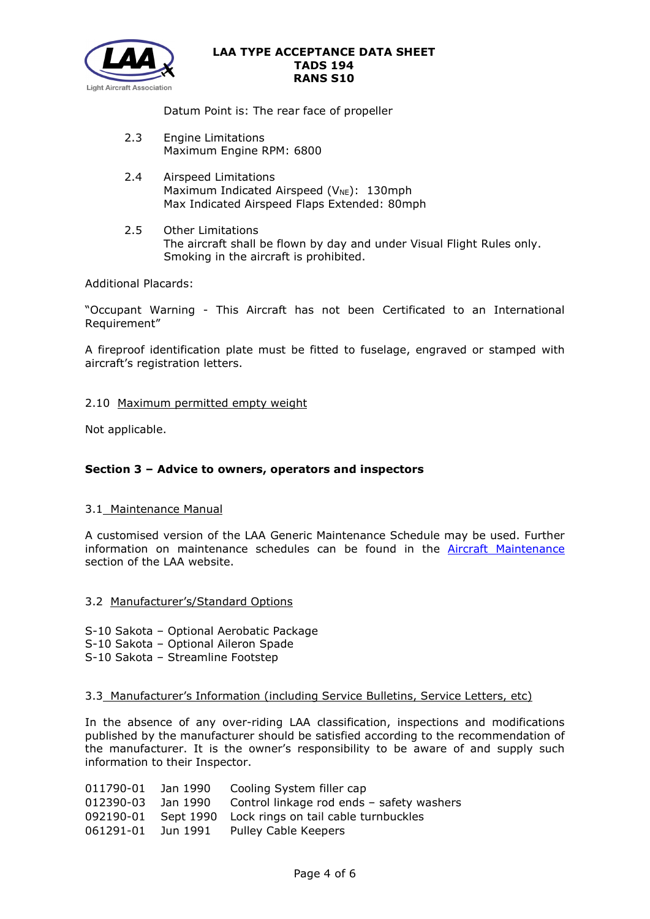

Datum Point is: The rear face of propeller

- 2.3 Engine Limitations Maximum Engine RPM: 6800
- 2.4 Airspeed Limitations Maximum Indicated Airspeed (V<sub>NE</sub>): 130mph Max Indicated Airspeed Flaps Extended: 80mph
- 2.5 Other Limitations The aircraft shall be flown by day and under Visual Flight Rules only. Smoking in the aircraft is prohibited.

Additional Placards:

"Occupant Warning - This Aircraft has not been Certificated to an International Requirement"

A fireproof identification plate must be fitted to fuselage, engraved or stamped with aircraft's registration letters.

# 2.10 Maximum permitted empty weight

Not applicable.

# **Section 3 – Advice to owners, operators and inspectors**

#### 3.1 Maintenance Manual

A customised version of the LAA Generic Maintenance Schedule may be used. Further information on maintenance schedules can be found in the [Aircraft Maintenance](http://www.lightaircraftassociation.co.uk/engineering/Maintenance/Aircraft_Maintenance.html) section of the LAA website.

- 3.2 Manufacturer's/Standard Options
- S-10 Sakota Optional Aerobatic Package
- S-10 Sakota Optional Aileron Spade
- S-10 Sakota Streamline Footstep

#### 3.3 Manufacturer's Information (including Service Bulletins, Service Letters, etc)

In the absence of any over-riding LAA classification, inspections and modifications published by the manufacturer should be satisfied according to the recommendation of the manufacturer. It is the owner's responsibility to be aware of and supply such information to their Inspector.

| 011790-01 Jan 1990 Cooling System filler cap             |
|----------------------------------------------------------|
| Jan 1990 Control linkage rod ends - safety washers       |
| 092190-01 Sept 1990 Lock rings on tail cable turnbuckles |
| 061291-01 Jun 1991 Pulley Cable Keepers                  |
|                                                          |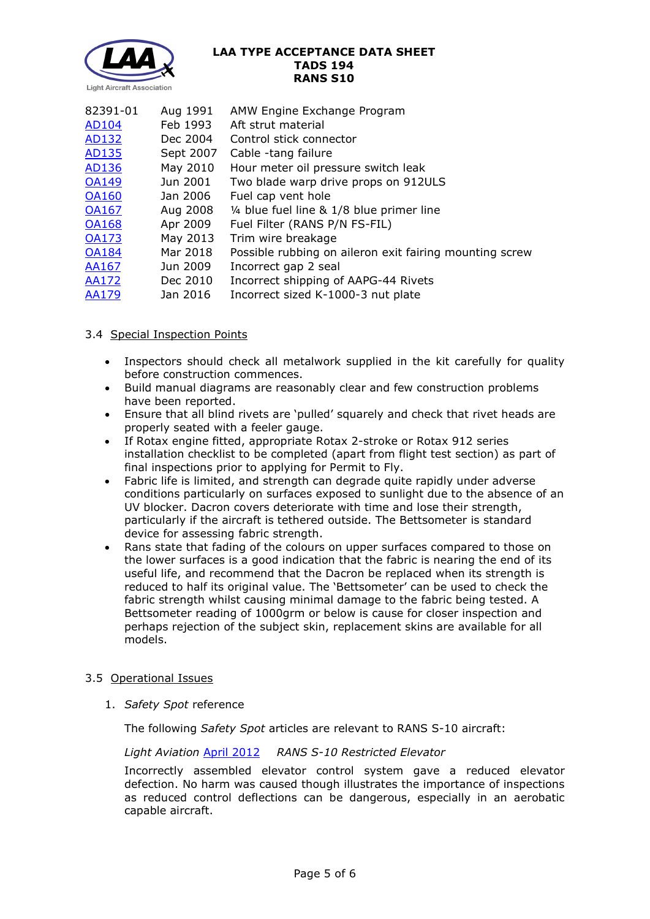

| 82391-01     | Aug 1991  | AMW Engine Exchange Program                             |
|--------------|-----------|---------------------------------------------------------|
| AD104        | Feb 1993  | Aft strut material                                      |
| AD132        | Dec 2004  | Control stick connector                                 |
| AD135        | Sept 2007 | Cable -tang failure                                     |
| AD136        | May 2010  | Hour meter oil pressure switch leak                     |
| <b>OA149</b> | Jun 2001  | Two blade warp drive props on 912ULS                    |
| <b>OA160</b> | Jan 2006  | Fuel cap vent hole                                      |
| <b>OA167</b> | Aug 2008  | 1/4 blue fuel line & 1/8 blue primer line               |
| <b>OA168</b> | Apr 2009  | Fuel Filter (RANS P/N FS-FIL)                           |
| <b>OA173</b> | May 2013  | Trim wire breakage                                      |
| <b>OA184</b> | Mar 2018  | Possible rubbing on aileron exit fairing mounting screw |
| <b>AA167</b> | Jun 2009  | Incorrect gap 2 seal                                    |
| <b>AA172</b> | Dec 2010  | Incorrect shipping of AAPG-44 Rivets                    |
| AA179        | Jan 2016  | Incorrect sized K-1000-3 nut plate                      |
|              |           |                                                         |

# 3.4 Special Inspection Points

- Inspectors should check all metalwork supplied in the kit carefully for quality before construction commences.
- Build manual diagrams are reasonably clear and few construction problems have been reported.
- Ensure that all blind rivets are 'pulled' squarely and check that rivet heads are properly seated with a feeler gauge.
- If Rotax engine fitted, appropriate Rotax 2-stroke or Rotax 912 series installation checklist to be completed (apart from flight test section) as part of final inspections prior to applying for Permit to Fly.
- Fabric life is limited, and strength can degrade quite rapidly under adverse conditions particularly on surfaces exposed to sunlight due to the absence of an UV blocker. Dacron covers deteriorate with time and lose their strength, particularly if the aircraft is tethered outside. The Bettsometer is standard device for assessing fabric strength.
- Rans state that fading of the colours on upper surfaces compared to those on the lower surfaces is a good indication that the fabric is nearing the end of its useful life, and recommend that the Dacron be replaced when its strength is reduced to half its original value. The 'Bettsometer' can be used to check the fabric strength whilst causing minimal damage to the fabric being tested. A Bettsometer reading of 1000grm or below is cause for closer inspection and perhaps rejection of the subject skin, replacement skins are available for all models.

#### 3.5 Operational Issues

1. *Safety Spot* reference

The following *Safety Spot* articles are relevant to RANS S-10 aircraft:

#### *Light Aviation* [April 2012](http://www.lightaircraftassociation.co.uk/2012/Magazine/April/safety_spot.pdf) *RANS S-10 Restricted Elevator*

Incorrectly assembled elevator control system gave a reduced elevator defection. No harm was caused though illustrates the importance of inspections as reduced control deflections can be dangerous, especially in an aerobatic capable aircraft.